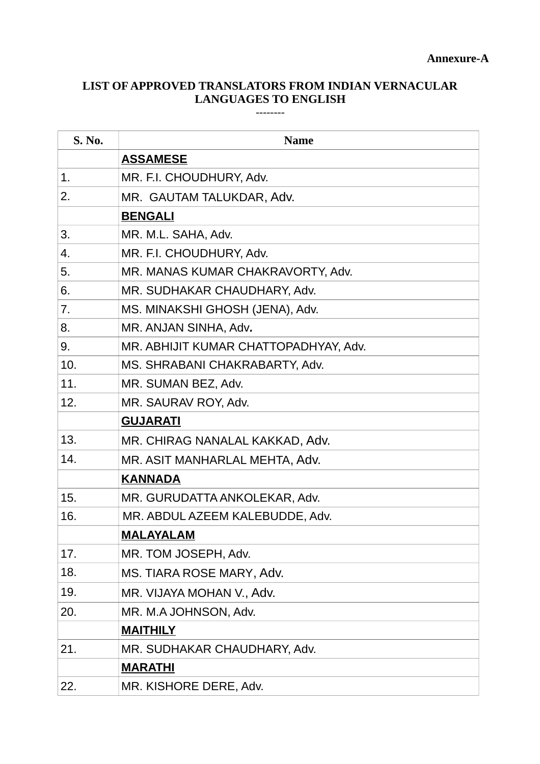## **LIST OF APPROVED TRANSLATORS FROM INDIAN VERNACULAR LANGUAGES TO ENGLISH**

--------

| S. No. | <b>Name</b>                           |
|--------|---------------------------------------|
|        | <b>ASSAMESE</b>                       |
| 1.     | MR. F.I. CHOUDHURY, Adv.              |
| 2.     | MR. GAUTAM TALUKDAR, Adv.             |
|        | <b>BENGALI</b>                        |
| 3.     | MR. M.L. SAHA, Adv.                   |
| 4.     | MR. F.I. CHOUDHURY, Adv.              |
| 5.     | MR. MANAS KUMAR CHAKRAVORTY, Adv.     |
| 6.     | MR. SUDHAKAR CHAUDHARY, Adv.          |
| 7.     | MS. MINAKSHI GHOSH (JENA), Adv.       |
| 8.     | MR. ANJAN SINHA, Adv.                 |
| 9.     | MR. ABHIJIT KUMAR CHATTOPADHYAY, Adv. |
| 10.    | MS. SHRABANI CHAKRABARTY, Adv.        |
| 11.    | MR. SUMAN BEZ, Adv.                   |
| 12.    | MR. SAURAV ROY, Adv.                  |
|        | <b>GUJARATI</b>                       |
| 13.    | MR. CHIRAG NANALAL KAKKAD, Adv.       |
| 14.    | MR. ASIT MANHARLAL MEHTA, Adv.        |
|        | <b>KANNADA</b>                        |
| 15.    | MR. GURUDATTA ANKOLEKAR, Adv.         |
| 16.    | MR. ABDUL AZEEM KALEBUDDE, Adv.       |
|        | <b>MALAYALAM</b>                      |
| 17.    | MR. TOM JOSEPH, Adv.                  |
| 18.    | MS. TIARA ROSE MARY, Adv.             |
| 19.    | MR. VIJAYA MOHAN V., Adv.             |
| 20.    | MR. M.A JOHNSON, Adv.                 |
|        | <b>MAITHILY</b>                       |
| 21.    | MR. SUDHAKAR CHAUDHARY, Adv.          |
|        | <b>MARATHI</b>                        |
| 22.    | MR. KISHORE DERE, Adv.                |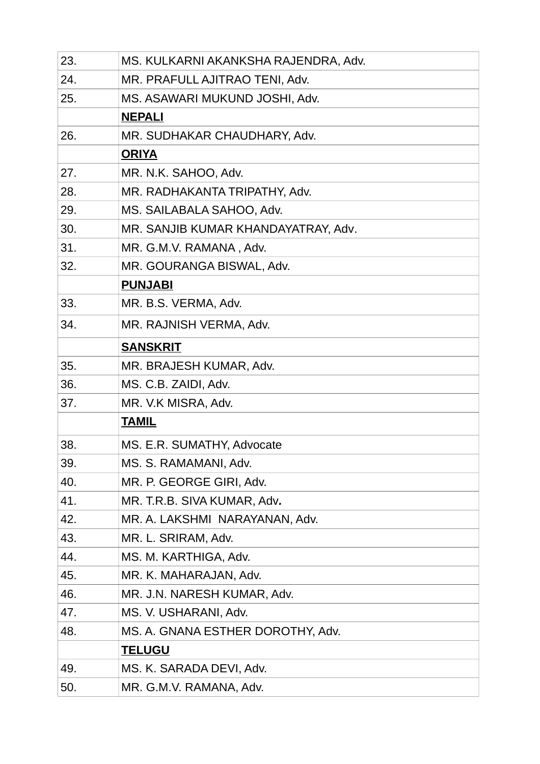| 23. | MS. KULKARNI AKANKSHA RAJENDRA, Adv. |
|-----|--------------------------------------|
| 24. | MR. PRAFULL AJITRAO TENI, Adv.       |
| 25. | MS. ASAWARI MUKUND JOSHI, Adv.       |
|     | <b>NEPALI</b>                        |
| 26. | MR. SUDHAKAR CHAUDHARY, Adv.         |
|     | <b>ORIYA</b>                         |
| 27. | MR. N.K. SAHOO, Adv.                 |
| 28. | MR. RADHAKANTA TRIPATHY, Adv.        |
| 29. | MS. SAILABALA SAHOO, Adv.            |
| 30. | MR. SANJIB KUMAR KHANDAYATRAY, Adv.  |
| 31. | MR. G.M.V. RAMANA, Adv.              |
| 32. | MR. GOURANGA BISWAL, Adv.            |
|     | <b>PUNJABI</b>                       |
| 33. | MR. B.S. VERMA, Adv.                 |
| 34. | MR. RAJNISH VERMA, Adv.              |
|     | <b>SANSKRIT</b>                      |
| 35. | MR. BRAJESH KUMAR, Adv.              |
| 36. | MS. C.B. ZAIDI, Adv.                 |
| 37. | MR. V.K MISRA, Adv.                  |
|     | <b>TAMIL</b>                         |
| 38. | MS. E.R. SUMATHY, Advocate           |
| 39. | MS. S. RAMAMANI, Adv.                |
| 40. | MR. P. GEORGE GIRI, Adv.             |
| 41. | MR. T.R.B. SIVA KUMAR, Adv.          |
| 42. | MR. A. LAKSHMI NARAYANAN, Adv.       |
| 43. | MR. L. SRIRAM, Adv.                  |
| 44. | MS. M. KARTHIGA, Adv.                |
| 45. | MR. K. MAHARAJAN, Adv.               |
| 46. | MR. J.N. NARESH KUMAR, Adv.          |
| 47. | MS. V. USHARANI, Adv.                |
| 48. | MS. A. GNANA ESTHER DOROTHY, Adv.    |
|     | <b>TELUGU</b>                        |
| 49. | MS. K. SARADA DEVI, Adv.             |
| 50. | MR. G.M.V. RAMANA, Adv.              |